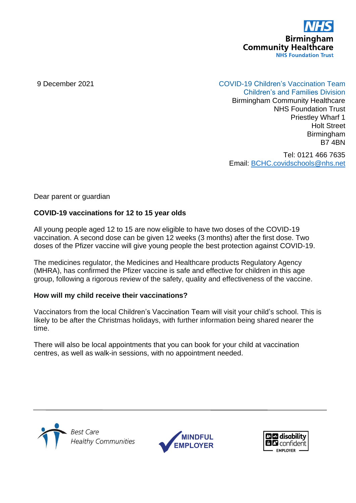

# 9 December 2021 COVID-19 Children's Vaccination Team

Children's and Families Division Birmingham Community Healthcare NHS Foundation Trust Priestley Wharf 1 Holt Street Birmingham B7 4BN

Tel: 0121 466 7635 Email: [BCHC.covidschools@nhs.net](mailto:BCHC.covidschools@nhs.net)

Dear parent or guardian

### **COVID-19 vaccinations for 12 to 15 year olds**

All young people aged 12 to 15 are now eligible to have two doses of the COVID-19 vaccination. A second dose can be given 12 weeks (3 months) after the first dose. Two doses of the Pfizer vaccine will give young people the best protection against COVID-19.

The medicines regulator, the Medicines and Healthcare products Regulatory Agency (MHRA), has confirmed the Pfizer vaccine is safe and effective for children in this age group, following a rigorous review of the safety, quality and effectiveness of the vaccine.

#### **How will my child receive their vaccinations?**

Vaccinators from the local Children's Vaccination Team will visit your child's school. This is likely to be after the Christmas holidays, with further information being shared nearer the time.

There will also be local appointments that you can book for your child at vaccination centres, as well as walk-in sessions, with no appointment needed.